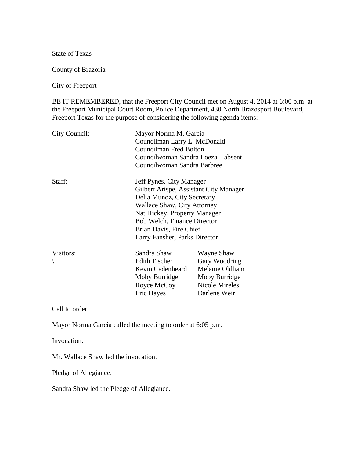State of Texas

County of Brazoria

City of Freeport

BE IT REMEMBERED, that the Freeport City Council met on August 4, 2014 at 6:00 p.m. at the Freeport Municipal Court Room, Police Department, 430 North Brazosport Boulevard, Freeport Texas for the purpose of considering the following agenda items:

| City Council: | Mayor Norma M. Garcia<br>Councilman Larry L. McDonald<br>Councilman Fred Bolton<br>Councilwoman Sandra Loeza – absent<br>Councilwoman Sandra Barbree                                                                                                               |                                                                                                         |
|---------------|--------------------------------------------------------------------------------------------------------------------------------------------------------------------------------------------------------------------------------------------------------------------|---------------------------------------------------------------------------------------------------------|
| Staff:        | Jeff Pynes, City Manager<br>Gilbert Arispe, Assistant City Manager<br>Delia Munoz, City Secretary<br>Wallace Shaw, City Attorney<br>Nat Hickey, Property Manager<br><b>Bob Welch, Finance Director</b><br>Brian Davis, Fire Chief<br>Larry Fansher, Parks Director |                                                                                                         |
| Visitors:     | Sandra Shaw<br><b>Edith Fischer</b><br>Kevin Cadenheard<br>Moby Burridge<br>Royce McCoy<br>Eric Hayes                                                                                                                                                              | Wayne Shaw<br>Gary Woodring<br>Melanie Oldham<br>Moby Burridge<br><b>Nicole Mireles</b><br>Darlene Weir |

Call to order.

Mayor Norma Garcia called the meeting to order at 6:05 p.m.

Invocation.

Mr. Wallace Shaw led the invocation.

Pledge of Allegiance.

Sandra Shaw led the Pledge of Allegiance.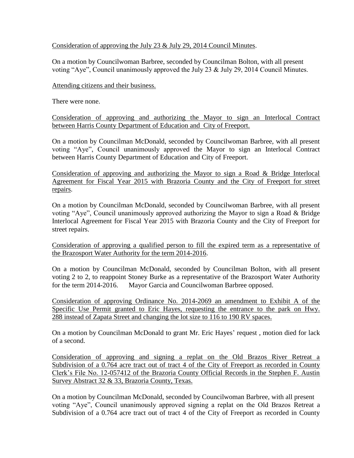Consideration of approving the July 23 & July 29, 2014 Council Minutes.

On a motion by Councilwoman Barbree, seconded by Councilman Bolton, with all present voting "Aye", Council unanimously approved the July 23 & July 29, 2014 Council Minutes.

Attending citizens and their business.

There were none.

Consideration of approving and authorizing the Mayor to sign an Interlocal Contract between Harris County Department of Education and City of Freeport.

On a motion by Councilman McDonald, seconded by Councilwoman Barbree, with all present voting "Aye", Council unanimously approved the Mayor to sign an Interlocal Contract between Harris County Department of Education and City of Freeport.

Consideration of approving and authorizing the Mayor to sign a Road & Bridge Interlocal Agreement for Fiscal Year 2015 with Brazoria County and the City of Freeport for street repairs.

On a motion by Councilman McDonald, seconded by Councilwoman Barbree, with all present voting "Aye", Council unanimously approved authorizing the Mayor to sign a Road & Bridge Interlocal Agreement for Fiscal Year 2015 with Brazoria County and the City of Freeport for street repairs.

Consideration of approving a qualified person to fill the expired term as a representative of the Brazosport Water Authority for the term 2014-2016.

On a motion by Councilman McDonald, seconded by Councilman Bolton, with all present voting 2 to 2, to reappoint Stoney Burke as a representative of the Brazosport Water Authority for the term 2014-2016. Mayor Garcia and Councilwoman Barbree opposed.

Consideration of approving Ordinance No. 2014-2069 an amendment to Exhibit A of the Specific Use Permit granted to Eric Hayes, requesting the entrance to the park on Hwy. 288 instead of Zapata Street and changing the lot size to 116 to 190 RV spaces.

On a motion by Councilman McDonald to grant Mr. Eric Hayes' request , motion died for lack of a second.

Consideration of approving and signing a replat on the Old Brazos River Retreat a Subdivision of a 0.764 acre tract out of tract 4 of the City of Freeport as recorded in County Clerk's File No. 12-057412 of the Brazoria County Official Records in the Stephen F. Austin Survey Abstract 32 & 33, Brazoria County, Texas.

On a motion by Councilman McDonald, seconded by Councilwoman Barbree, with all present voting "Aye", Council unanimously approved signing a replat on the Old Brazos Retreat a Subdivision of a 0.764 acre tract out of tract 4 of the City of Freeport as recorded in County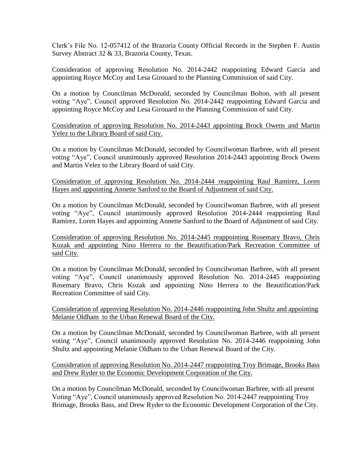Clerk's File No. 12-057412 of the Brazoria County Official Records in the Stephen F. Austin Survey Abstract 32 & 33, Brazoria County, Texas.

Consideration of approving Resolution No. 2014-2442 reappointing Edward Garcia and appointing Royce McCoy and Lesa Girouard to the Planning Commission of said City.

On a motion by Councilman McDonald, seconded by Councilman Bolton, with all present voting "Aye", Council approved Resolution No. 2014-2442 reappointing Edward Garcia and appointing Royce McCoy and Lesa Girouard to the Planning Commission of said City.

Consideration of approving Resolution No. 2014-2443 appointing Brock Owens and Martin Velez to the Library Board of said City.

On a motion by Councilman McDonald, seconded by Councilwoman Barbree, with all present voting "Aye", Council unanimously approved Resolution 2014-2443 appointing Brock Owens and Martin Velez to the Library Board of said City.

Consideration of approving Resolution No. 2014-2444 reappointing Raul Ramirez, Loren Hayes and appointing Annette Sanford to the Board of Adjustment of said City.

On a motion by Councilman McDonald, seconded by Councilwoman Barbree, with all present voting "Aye", Council unanimously approved Resolution 2014-2444 reappointing Raul Ramirez, Loren Hayes and appointing Annette Sanford to the Board of Adjustment of said City.

Consideration of approving Resolution No. 2014-2445 reappointing Rosemary Bravo, Chris Kozak and appointing Nino Herrera to the Beautification/Park Recreation Committee of said City.

On a motion by Councilman McDonald, seconded by Councilwoman Barbree, with all present voting "Aye", Council unanimously approved Resolution No. 2014-2445 reappointing Rosemary Bravo, Chris Kozak and appointing Nino Herrera to the Beautification/Park Recreation Committee of said City.

Consideration of approving Resolution No. 2014-2446 reappointing John Shultz and appointing Melanie Oldham to the Urban Renewal Board of the City.

On a motion by Councilman McDonald, seconded by Councilwoman Barbree, with all present voting "Aye", Council unanimously approved Resolution No. 2014-2446 reappointing John Shultz and appointing Melanie Oldham to the Urban Renewal Board of the City.

Consideration of approving Resolution No. 2014-2447 reappointing Troy Brimage, Brooks Bass and Drew Ryder to the Economic Development Corporation of the City.

On a motion by Councilman McDonald, seconded by Councilwoman Barbree, with all present Voting "Aye", Council unanimously approved Resolution No. 2014-2447 reappointing Troy Brimage, Brooks Bass, and Drew Ryder to the Economic Development Corporation of the City.